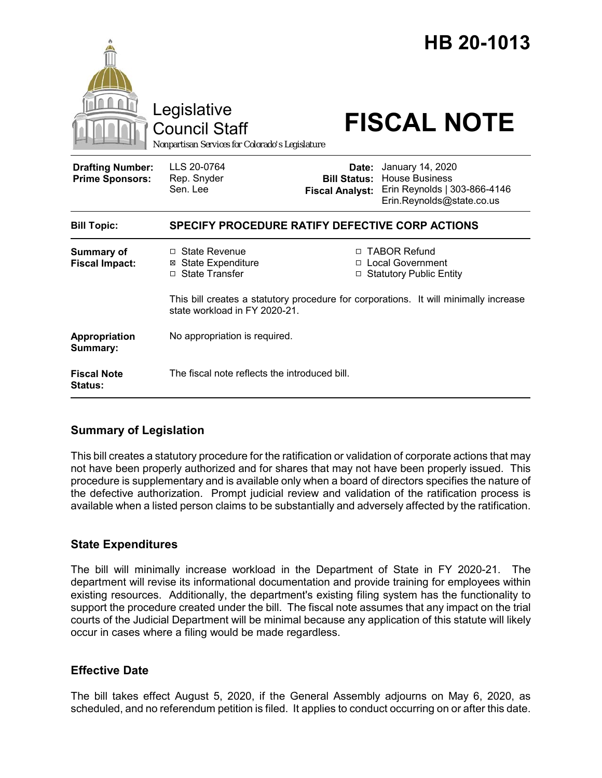|                                                   | Legislative<br><b>Council Staff</b><br>Nonpartisan Services for Colorado's Legislature |                                 | HB 20-1013<br><b>FISCAL NOTE</b>                                                                                                                          |
|---------------------------------------------------|----------------------------------------------------------------------------------------|---------------------------------|-----------------------------------------------------------------------------------------------------------------------------------------------------------|
| <b>Drafting Number:</b><br><b>Prime Sponsors:</b> | LLS 20-0764<br>Rep. Snyder<br>Sen. Lee                                                 | Date:<br><b>Fiscal Analyst:</b> | January 14, 2020<br><b>Bill Status: House Business</b><br>Erin Reynolds   303-866-4146<br>Erin.Reynolds@state.co.us                                       |
| <b>Bill Topic:</b>                                | SPECIFY PROCEDURE RATIFY DEFECTIVE CORP ACTIONS                                        |                                 |                                                                                                                                                           |
| <b>Summary of</b><br><b>Fiscal Impact:</b>        | □ State Revenue<br><b>State Expenditure</b><br>□ State Transfer                        |                                 | □ TABOR Refund<br>□ Local Government<br>□ Statutory Public Entity<br>This bill creates a statutory procedure for corporations. It will minimally increase |
|                                                   | state workload in FY 2020-21.                                                          |                                 |                                                                                                                                                           |
| Appropriation<br>Summary:                         | No appropriation is required.                                                          |                                 |                                                                                                                                                           |
| <b>Fiscal Note</b><br><b>Status:</b>              | The fiscal note reflects the introduced bill.                                          |                                 |                                                                                                                                                           |

## **Summary of Legislation**

This bill creates a statutory procedure for the ratification or validation of corporate actions that may not have been properly authorized and for shares that may not have been properly issued. This procedure is supplementary and is available only when a board of directors specifies the nature of the defective authorization. Prompt judicial review and validation of the ratification process is available when a listed person claims to be substantially and adversely affected by the ratification.

## **State Expenditures**

The bill will minimally increase workload in the Department of State in FY 2020-21. The department will revise its informational documentation and provide training for employees within existing resources. Additionally, the department's existing filing system has the functionality to support the procedure created under the bill. The fiscal note assumes that any impact on the trial courts of the Judicial Department will be minimal because any application of this statute will likely occur in cases where a filing would be made regardless.

## **Effective Date**

The bill takes effect August 5, 2020, if the General Assembly adjourns on May 6, 2020, as scheduled, and no referendum petition is filed. It applies to conduct occurring on or after this date.